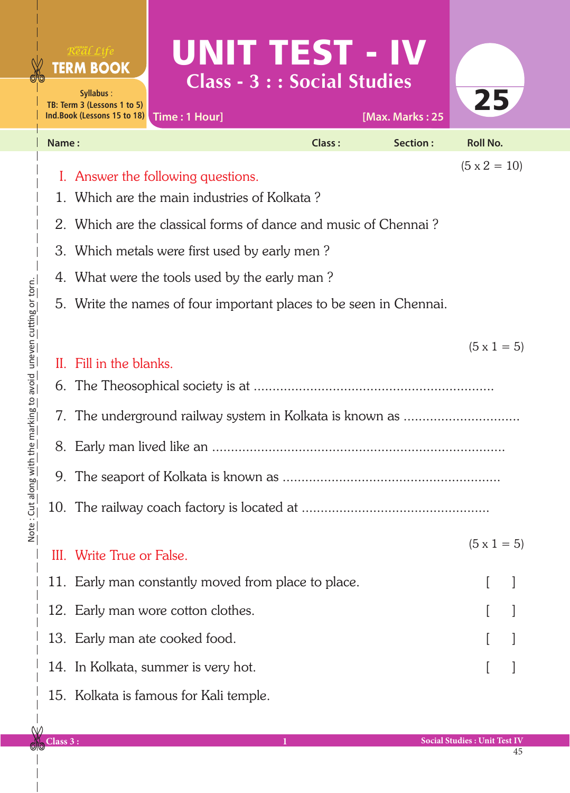|       | Real Life<br><b>TERM BOOK</b><br>Syllabus:<br>TB: Term 3 (Lessons 1 to 5)<br>Ind.Book (Lessons 15 to 18)  | UNIT TEST - IV<br>Time: 1 Hour]                     | <b>Class - 3 : : Social Studies</b> | [Max. Marks: 25 | 25                 |  |
|-------|-----------------------------------------------------------------------------------------------------------|-----------------------------------------------------|-------------------------------------|-----------------|--------------------|--|
| Name: |                                                                                                           |                                                     | Class:                              | Section:        | <b>Roll No.</b>    |  |
|       | $(5 \times 2 = 10)$<br>I. Answer the following questions.<br>1. Which are the main industries of Kolkata? |                                                     |                                     |                 |                    |  |
|       | 2. Which are the classical forms of dance and music of Chennai?                                           |                                                     |                                     |                 |                    |  |
|       | 3. Which metals were first used by early men?<br>4. What were the tools used by the early man?            |                                                     |                                     |                 |                    |  |
|       | 5. Write the names of four important places to be seen in Chennai.                                        |                                                     |                                     |                 |                    |  |
|       |                                                                                                           |                                                     |                                     |                 |                    |  |
|       |                                                                                                           |                                                     |                                     |                 | $(5 \times 1 = 5)$ |  |
|       | II. Fill in the blanks.                                                                                   |                                                     |                                     |                 |                    |  |
|       |                                                                                                           |                                                     |                                     |                 |                    |  |
|       | 7. The underground railway system in Kolkata is known as                                                  |                                                     |                                     |                 |                    |  |
|       |                                                                                                           |                                                     |                                     |                 |                    |  |
|       |                                                                                                           |                                                     |                                     |                 |                    |  |
|       |                                                                                                           |                                                     |                                     |                 |                    |  |
|       |                                                                                                           |                                                     |                                     |                 |                    |  |
| Ш.    | Write True or False.                                                                                      |                                                     |                                     |                 | $(5 \times 1 = 5)$ |  |
|       |                                                                                                           | 11. Early man constantly moved from place to place. |                                     |                 |                    |  |
|       |                                                                                                           | 12. Early man wore cotton clothes.                  |                                     |                 |                    |  |
|       |                                                                                                           | 13. Early man ate cooked food.                      |                                     |                 |                    |  |
|       |                                                                                                           | 14. In Kolkata, summer is very hot.                 |                                     |                 |                    |  |
|       |                                                                                                           | 15. Kolkata is famous for Kali temple.              |                                     |                 |                    |  |
|       |                                                                                                           |                                                     |                                     |                 |                    |  |